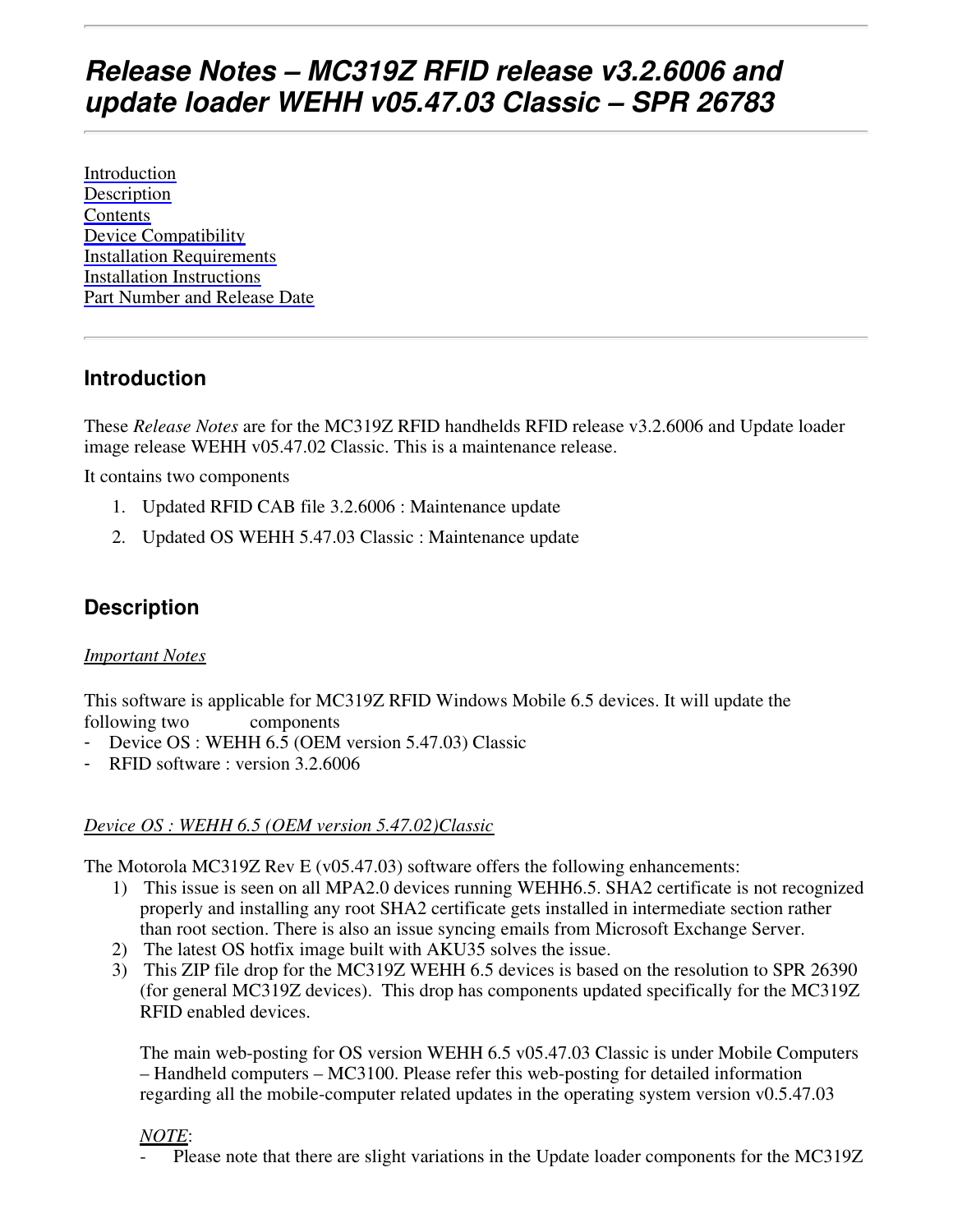# **Release Notes – MC319Z RFID release v3.2.6006 and update loader WEHH v05.47.03 Classic – SPR 26783**

Introduction Description **Contents** Device Compatibility Installation Requirements Installation Instructions Part Number and Release Date

## **Introduction**

These *Release Notes* are for the MC319Z RFID handhelds RFID release v3.2.6006 and Update loader image release WEHH v05.47.02 Classic. This is a maintenance release.

It contains two components

- 1. Updated RFID CAB file 3.2.6006 : Maintenance update
- 2. Updated OS WEHH 5.47.03 Classic : Maintenance update

## **Description**

#### *Important Notes*

This software is applicable for MC319Z RFID Windows Mobile 6.5 devices. It will update the following two components

- Device OS : WEHH 6.5 (OEM version 5.47.03) Classic
- RFID software : version 3.2.6006

#### *Device OS : WEHH 6.5 (OEM version 5.47.02)Classic*

The Motorola MC319Z Rev E (v05.47.03) software offers the following enhancements:

- 1) This issue is seen on all MPA2.0 devices running WEHH6.5. SHA2 certificate is not recognized properly and installing any root SHA2 certificate gets installed in intermediate section rather than root section. There is also an issue syncing emails from Microsoft Exchange Server.
- 2) The latest OS hotfix image built with AKU35 solves the issue.
- 3) This ZIP file drop for the MC319Z WEHH 6.5 devices is based on the resolution to SPR 26390 (for general MC319Z devices). This drop has components updated specifically for the MC319Z RFID enabled devices.

The main web-posting for OS version WEHH 6.5 v05.47.03 Classic is under Mobile Computers – Handheld computers – MC3100. Please refer this web-posting for detailed information regarding all the mobile-computer related updates in the operating system version v0.5.47.03

#### *NOTE*:

Please note that there are slight variations in the Update loader components for the MC319Z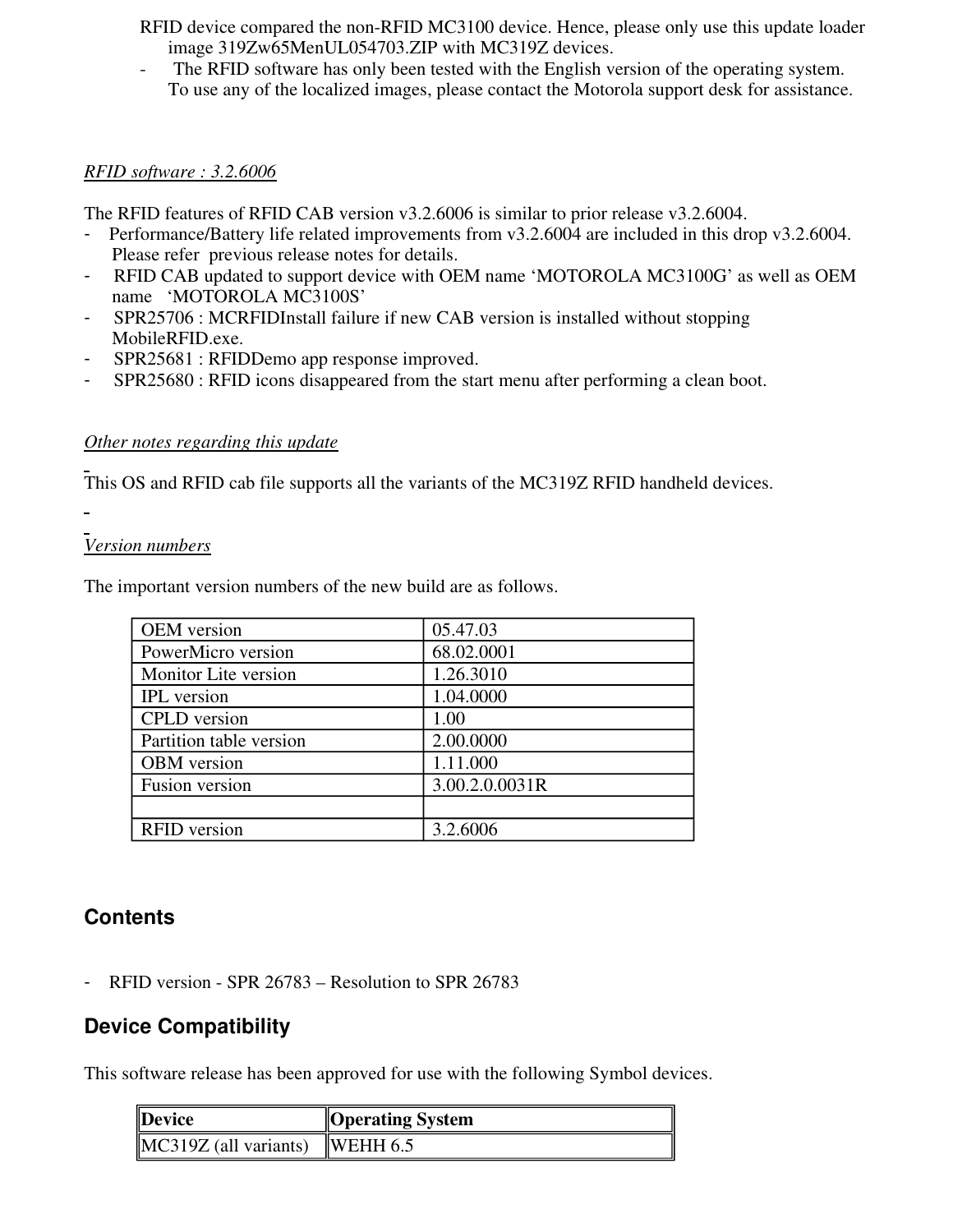RFID device compared the non-RFID MC3100 device. Hence, please only use this update loader image 319Zw65MenUL054703.ZIP with MC319Z devices.

The RFID software has only been tested with the English version of the operating system. To use any of the localized images, please contact the Motorola support desk for assistance.

#### *RFID software : 3.2.6006*

The RFID features of RFID CAB version v3.2.6006 is similar to prior release v3.2.6004.

- Performance/Battery life related improvements from v3.2.6004 are included in this drop v3.2.6004. Please refer previous release notes for details.
- RFID CAB updated to support device with OEM name 'MOTOROLA MC3100G' as well as OEM name 'MOTOROLA MC3100S'
- SPR25706 : MCRFIDInstall failure if new CAB version is installed without stopping MobileRFID.exe.
- SPR25681 : RFIDDemo app response improved.
- SPR25680 : RFID icons disappeared from the start menu after performing a clean boot.

#### *Other notes regarding this update*

This OS and RFID cab file supports all the variants of the MC319Z RFID handheld devices.

#### *Version numbers*

The important version numbers of the new build are as follows.

| <b>OEM</b> version      | 05.47.03       |
|-------------------------|----------------|
| PowerMicro version      | 68.02.0001     |
| Monitor Lite version    | 1.26.3010      |
| <b>IPL</b> version      | 1.04.0000      |
| <b>CPLD</b> version     | 1.00           |
| Partition table version | 2.00.0000      |
| <b>OBM</b> version      | 1.11.000       |
| Fusion version          | 3.00.2.0.0031R |
|                         |                |
| <b>RFID</b> version     | 3.2.6006       |

### **Contents**

RFID version - SPR 26783 – Resolution to SPR 26783

## **Device Compatibility**

This software release has been approved for use with the following Symbol devices.

| $\blacksquare$ Device   | <b>Operating System</b> |
|-------------------------|-------------------------|
| $MC319Z$ (all variants) | $\parallel$ WEHH 6.5    |